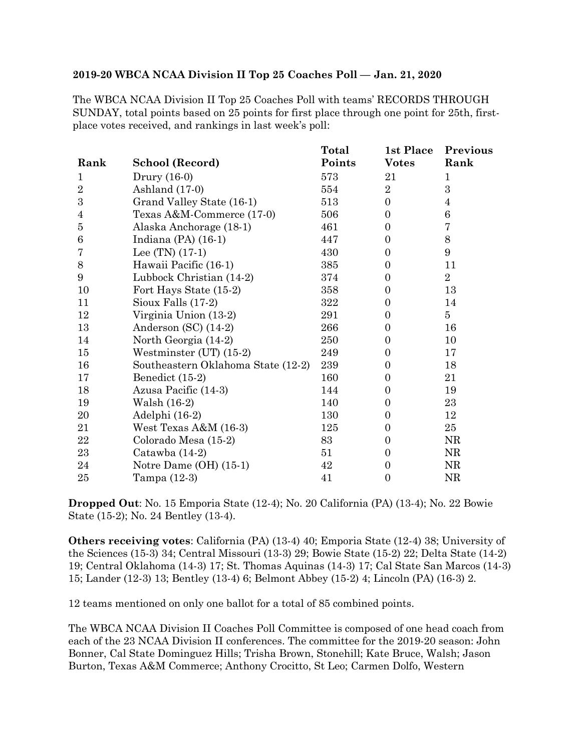## **2019-20 WBCA NCAA Division II Top 25 Coaches Poll — Jan. 21, 2020**

The WBCA NCAA Division II Top 25 Coaches Poll with teams' RECORDS THROUGH SUNDAY, total points based on 25 points for first place through one point for 25th, firstplace votes received, and rankings in last week's poll:

|                  |                                    | <b>Total</b> | 1st Place      | Previous         |
|------------------|------------------------------------|--------------|----------------|------------------|
| Rank             | School (Record)                    | Points       | <b>Votes</b>   | Rank             |
| $\mathbf{1}$     | Drury (16-0)                       | 573          | 21             | $\mathbf{1}$     |
| $\overline{2}$   | Ashland (17-0)                     | 554          | $\overline{2}$ | 3                |
| $\boldsymbol{3}$ | Grand Valley State (16-1)          | 513          | $\overline{0}$ | $\overline{4}$   |
| $\overline{4}$   | Texas A&M-Commerce (17-0)          | 506          | $\mathbf{0}$   | $\,6$            |
| $\bf 5$          | Alaska Anchorage (18-1)            | 461          | $\Omega$       | $\overline{7}$   |
| $\,6$            | Indiana $(PA)$ $(16-1)$            | 447          | $\Omega$       | $8\,$            |
| 7                | Lee $(TN)$ $(17-1)$                | 430          | $\overline{0}$ | $\boldsymbol{9}$ |
| $8\,$            | Hawaii Pacific (16-1)              | 385          | $\theta$       | 11               |
| 9                | Lubbock Christian (14-2)           | 374          | $\Omega$       | $\overline{2}$   |
| 10               | Fort Hays State (15-2)             | 358          | $\theta$       | 13               |
| 11               | Sioux Falls $(17-2)$               | 322          | $\Omega$       | 14               |
| 12               | Virginia Union (13-2)              | 291          | $\mathbf{0}$   | $\overline{5}$   |
| 13               | Anderson $(SC)$ $(14-2)$           | 266          | $\Omega$       | 16               |
| 14               | North Georgia (14-2)               | 250          | $\Omega$       | 10               |
| 15               | Westminster $(UT)$ $(15-2)$        | 249          | $\Omega$       | 17               |
| 16               | Southeastern Oklahoma State (12-2) | 239          | $\Omega$       | 18               |
| 17               | Benedict (15-2)                    | 160          | $\Omega$       | 21               |
| 18               | Azusa Pacific (14-3)               | 144          | $\Omega$       | 19               |
| 19               | Walsh (16-2)                       | 140          | $\Omega$       | 23               |
| 20               | Adelphi (16-2)                     | 130          | $\Omega$       | 12               |
| 21               | West Texas $A&M(16-3)$             | 125          | $\theta$       | 25               |
| 22               | Colorado Mesa (15-2)               | 83           | $\Omega$       | NR               |
| 23               | Catawba (14-2)                     | 51           | 0              | NR               |
| 24               | Notre Dame $(OH)$ $(15-1)$         | 42           | 0              | NR               |
| 25               | Tampa (12-3)                       | 41           | $\mathbf{0}$   | NR               |

**Dropped Out**: No. 15 Emporia State (12-4); No. 20 California (PA) (13-4); No. 22 Bowie State (15-2); No. 24 Bentley (13-4).

**Others receiving votes**: California (PA) (13-4) 40; Emporia State (12-4) 38; University of the Sciences (15-3) 34; Central Missouri (13-3) 29; Bowie State (15-2) 22; Delta State (14-2) 19; Central Oklahoma (14-3) 17; St. Thomas Aquinas (14-3) 17; Cal State San Marcos (14-3) 15; Lander (12-3) 13; Bentley (13-4) 6; Belmont Abbey (15-2) 4; Lincoln (PA) (16-3) 2.

12 teams mentioned on only one ballot for a total of 85 combined points.

The WBCA NCAA Division II Coaches Poll Committee is composed of one head coach from each of the 23 NCAA Division II conferences. The committee for the 2019-20 season: John Bonner, Cal State Dominguez Hills; Trisha Brown, Stonehill; Kate Bruce, Walsh; Jason Burton, Texas A&M Commerce; Anthony Crocitto, St Leo; Carmen Dolfo, Western